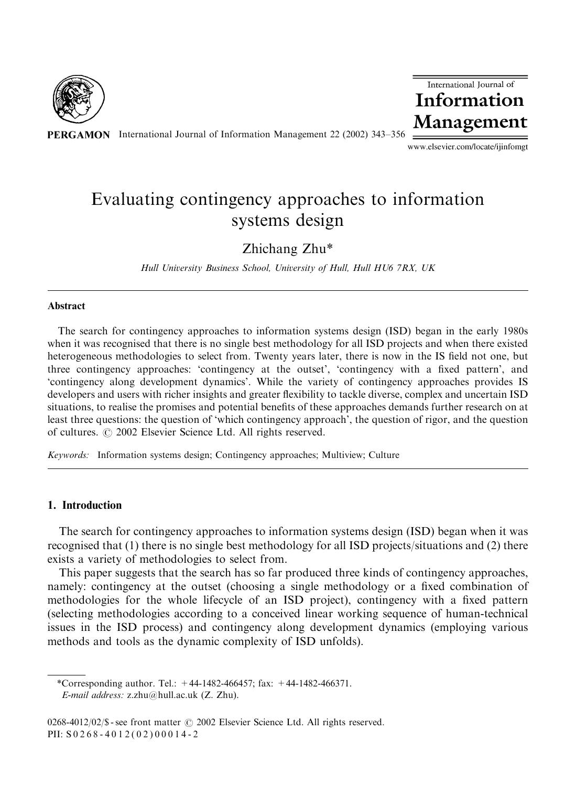

PERGAMON International Journal of Information Management 22 (2002) 343-356



www.elsevier.com/locate/ijinfomgt

# Evaluating contingency approaches to information systems design

Zhichang Zhu\*

Hull University Business School, University of Hull, Hull HU6 7RX, UK

#### Abstract

The search for contingency approaches to information systems design (ISD) began in the early 1980s when it was recognised that there is no single best methodology for all ISD projects and when there existed heterogeneous methodologies to select from. Twenty years later, there is now in the IS field not one, but three contingency approaches: 'contingency at the outset', 'contingency with a fixedpattern', and 'contingency along development dynamics'. While the variety of contingency approaches provides IS developers and users with richer insights and greater flexibility to tackle diverse, complex and uncertain ISD situations, to realise the promises and potential benefits of these approaches demands further research on at least three questions: the question of 'which contingency approach', the question of rigor, andthe question of cultures.  $\odot$  2002 Elsevier Science Ltd. All rights reserved.

Keywords: Information systems design; Contingency approaches; Multiview; Culture

### 1. Introduction

The search for contingency approaches to information systems design (ISD) began when it was recognised that  $(1)$  there is no single best methodology for all ISD projects/situations and  $(2)$  there exists a variety of methodologies to select from.

This paper suggests that the search has so far produced three kinds of contingency approaches, namely: contingency at the outset (choosing a single methodology or a fixed combination of methodologies for the whole lifecycle of an ISD project), contingency with a fixed pattern (selecting methodologies according to a conceived linear working sequence of human-technical issues in the ISD process) and contingency along development dynamics (employing various methods and tools as the dynamic complexity of ISD unfolds).

<sup>\*</sup>Corresponding author. Tel.:  $+44-1482-466457$ ; fax:  $+44-1482-466371$ . E-mail address: z.zhu@hull.ac.uk (Z. Zhu).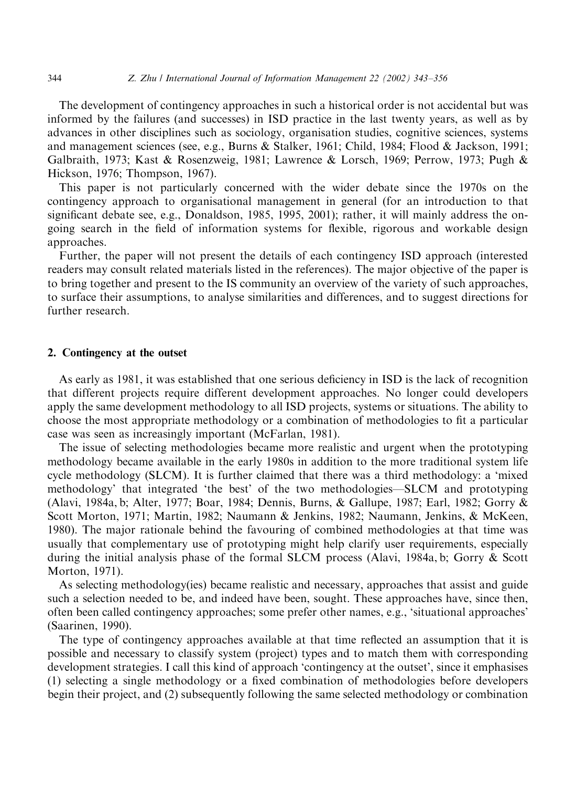The development of contingency approaches in such a historical order is not accidental but was informed by the failures (and successes) in ISD practice in the last twenty years, as well as by advances in other disciplines such as sociology, organisation studies, cognitive sciences, systems and management sciences (see, e.g., Burns & Stalker, 1961; Child, 1984; Flood & Jackson, 1991; Galbraith, 1973; Kast & Rosenzweig, 1981; Lawrence & Lorsch, 1969; Perrow, 1973; Pugh & Hickson, 1976; Thompson, 1967).

This paper is not particularly concerned with the wider debate since the 1970s on the contingency approach to organisational management in general (for an introduction to that significant debate see, e.g., Donaldson, 1985, 1995, 2001); rather, it will mainly address the ongoing search in the field of information systems for flexible, rigorous and workable design approaches.

Further, the paper will not present the details of each contingency ISD approach (interested readers may consult related materials listed in the references). The major objective of the paper is to bring together and present to the IS community an overview of the variety of such approaches, to surface their assumptions, to analyse similarities and differences, and to suggest directions for further research.

### 2. Contingency at the outset

As early as 1981, it was established that one serious deficiency in ISD is the lack of recognition that different projects require different development approaches. No longer could developers apply the same development methodology to all ISD projects, systems or situations. The ability to choose the most appropriate methodology or a combination of methodologies to fit a particular case was seen as increasingly important (McFarlan, 1981).

The issue of selecting methodologies became more realistic and urgent when the prototyping methodology became available in the early 1980s in addition to the more traditional system life cycle methodology (SLCM). It is further claimed that there was a third methodology: a 'mixed methodology' that integrated 'the best' of the two methodologies—SLCM and prototyping (Alavi, 1984a, b; Alter, 1977; Boar, 1984; Dennis, Burns, & Gallupe, 1987; Earl, 1982; Gorry & Scott Morton, 1971; Martin, 1982; Naumann & Jenkins, 1982; Naumann, Jenkins, & McKeen, 1980). The major rationale behind the favouring of combined methodologies at that time was usually that complementary use of prototyping might help clarify user requirements, especially during the initial analysis phase of the formal SLCM process (Alavi, 1984a, b; Gorry & Scott Morton, 1971).

As selecting methodology(ies) became realistic and necessary, approaches that assist and guide such a selection needed to be, and indeed have been, sought. These approaches have, since then, often been called contingency approaches; some prefer other names, e.g., 'situational approaches' (Saarinen, 1990).

The type of contingency approaches available at that time reflected an assumption that it is possible and necessary to classify system (project) types and to match them with corresponding development strategies. I call this kind of approach 'contingency at the outset', since it emphasises (1) selecting a single methodology or a fixed combination of methodologies before developers begin their project, and (2) subsequently following the same selected methodology or combination